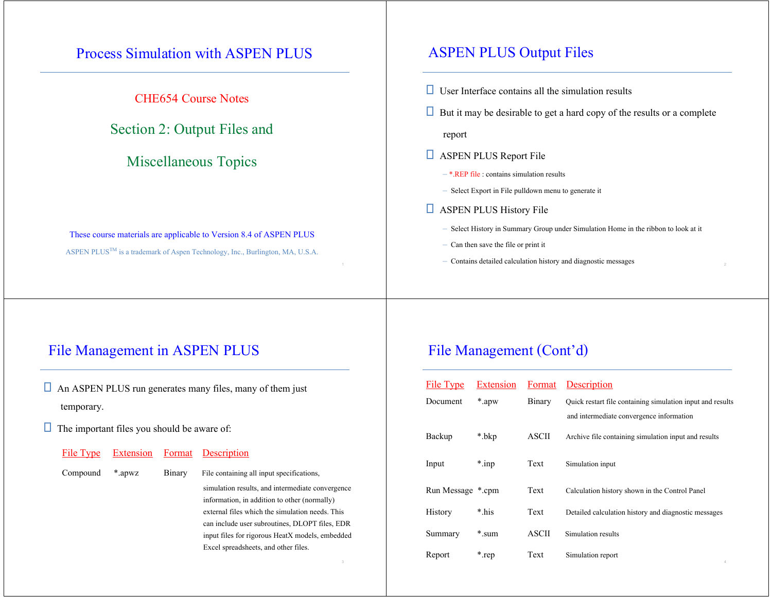## Process Simulation with ASPEN PLUS

CHE654 Course Notes

Section 2: Output Files and

### Miscellaneous Topics

These course materials are applicable to Version 8.4 of ASPEN PLUS ASPEN PLUS<sup>TM</sup> is a trademark of Aspen Technology, Inc., Burlington, MA, U.S.A.

### ASPEN PLUS Output Files

- $\Box$  User Interface contains all the simulation results
- $\Box$  But it may be desirable to get a hard copy of the results or a complete

report

- **B** ASPEN PLUS Report File
	- \*.REP file : contains simulation results
	- Select Export in File pulldown menu to generate it
- **B** ASPEN PLUS History File
	- Select History in Summary Group under Simulation Home in the ribbon to look at it
	- Can then save the file or print it
- $\sim$  2 Contains detailed calculation history and diagnostic messages

## File Management in ASPEN PLUS

- $\Box$  An ASPEN PLUS run generates many files, many of them just temporary.
- $\Box$  The important files you should be aware of:

| File Type |        |               | Extension Format Description                     |
|-----------|--------|---------------|--------------------------------------------------|
| Compound  | *.apwz | <b>Binary</b> | File containing all input specifications,        |
|           |        |               | simulation results, and intermediate convergence |
|           |        |               | information, in addition to other (normally)     |
|           |        |               | external files which the simulation needs. This  |
|           |        |               | can include user subroutines, DLOPT files, EDR   |
|           |        |               | input files for rigorous HeatX models, embedded  |

Excel spreadsheets, and other files.

### File Management (Cont'd)

| File Type         | Extension | Format | Description                                                |
|-------------------|-----------|--------|------------------------------------------------------------|
| Document          | *.apw     | Binary | Quick restart file containing simulation input and results |
|                   |           |        | and intermediate convergence information                   |
| Backup            | *.bkp     | ASCII  | Archive file containing simulation input and results       |
| Input             | $*$ .inp  | Text   | Simulation input                                           |
| Run Message *.cpm |           | Text   | Calculation history shown in the Control Panel             |
| <b>History</b>    | * his     | Text   | Detailed calculation history and diagnostic messages       |
| Summary           | *.sum     | ASCII  | Simulation results                                         |
| Report            | *.rep     | Text   | Simulation report<br>$\Lambda$                             |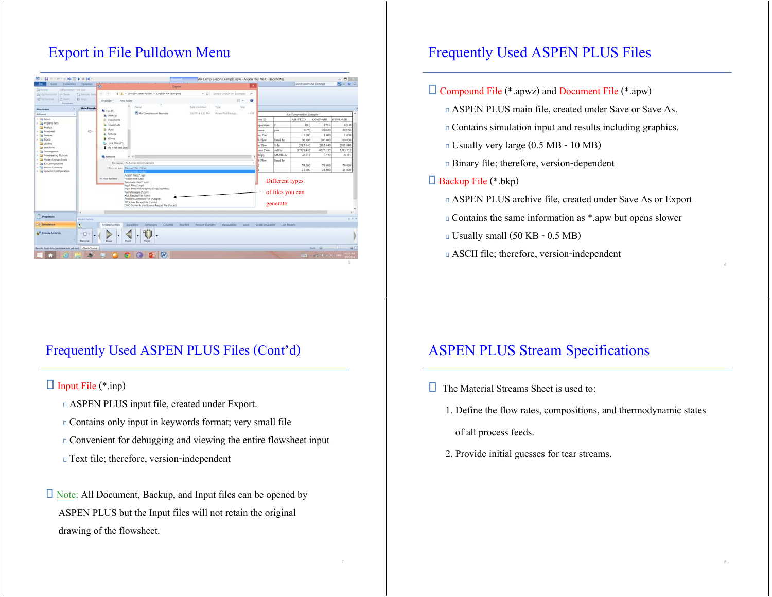## Export in File Pulldown Menu

| Hotel<br>Entrements                                       | Dysamus                            | $\sigma$                                                                                                                                                                                                                                                               |                                                | Esport                                       |                                 | ×              |                   |                                                 | Search aspenCAIT Exchanger |                 | <b>Bo v B</b>                |
|-----------------------------------------------------------|------------------------------------|------------------------------------------------------------------------------------------------------------------------------------------------------------------------------------------------------------------------------------------------------------------------|------------------------------------------------|----------------------------------------------|---------------------------------|----------------|-------------------|-------------------------------------------------|----------------------------|-----------------|------------------------------|
| Sà Feriain<br>edfactories to the lost                     |                                    |                                                                                                                                                                                                                                                                        | + 1 + CHEES4 (New) Folder + CHEES4 A+ Examples |                                              |                                 | $\overline{P}$ |                   |                                                 |                            |                 |                              |
| 25 File Honorandar Land Break<br>2 Round<br>of No liveral | 72 Revised Great<br><b>D</b> First | $\left( 0,1\right)$<br>$\circ$                                                                                                                                                                                                                                         |                                                |                                              | w. C - Search OVESA A+ Examples |                |                   |                                                 |                            |                 |                              |
| Fiousheet                                                 |                                    | Drawing *                                                                                                                                                                                                                                                              | New folder                                     |                                              |                                 | 图片<br>ø        |                   |                                                 |                            |                 |                              |
| Simulation                                                | <b>Main Figurety</b>               | A This PC                                                                                                                                                                                                                                                              | Name                                           | Date modified                                | Type                            | Size           |                   |                                                 |                            |                 |                              |
| All heres                                                 |                                    | <b>E</b> Desirion                                                                                                                                                                                                                                                      | Air Compression Example                        | 5/6/2014 1632 AM                             | Aspen Plus Eaclesti,            | 39.831         |                   |                                                 | Air Compression Example    |                 |                              |
| 1 El Setio                                                |                                    | <b>B.</b> Documents                                                                                                                                                                                                                                                    |                                                |                                              |                                 |                | um ID             |                                                 | AIR-FEED                   | <b>COMP-AIR</b> | COOL-AIR                     |
| > DA Property Sets                                        |                                    | <b>A</b> Downloads                                                                                                                                                                                                                                                     |                                                |                                              |                                 |                | sperature         |                                                 | 60.0                       | \$70.4          | 600.0                        |
| <b>Analysis</b><br><b>La Flowsheet</b>                    | ò                                  | <b>B</b> Marie                                                                                                                                                                                                                                                         |                                                |                                              |                                 |                | sware             | pia                                             | 14.70                      | 220.00          | 220.00                       |
| <b>City Streams</b>                                       |                                    | E. Pictures                                                                                                                                                                                                                                                            |                                                |                                              |                                 |                | sor Frac          |                                                 | 1,000                      | 1,000           | 1,000                        |
| $+$ $\Box$ Blocks                                         |                                    | Wideca                                                                                                                                                                                                                                                                 |                                                |                                              |                                 |                | le Flour          | Banal he                                        | 100.000                    | 100,000         | 100.000                      |
| <b>Ca Unitries</b><br>To Reactions                        |                                    | A Local Disk (C)<br>My 1-18 Red Sea                                                                                                                                                                                                                                    |                                                |                                              |                                 |                | <b>As Flow</b>    | <b>In far</b>                                   | 2885.040                   | 2885,040        | 2885.040                     |
| J La Convergence                                          |                                    |                                                                                                                                                                                                                                                                        |                                                |                                              |                                 |                | unie Flow         | cuft-hr                                         | 37928.442                  | 6527.137        | 5203.502                     |
| > Cal Flowsheeting Options                                |                                    | <b>W.</b> Network                                                                                                                                                                                                                                                      | 4. 3                                           |                                              |                                 |                | halpy             | <b>MMB</b> baller                               | $-0.012$                   | 0.572           | 0.371                        |
| - Da Model Analysis Tools                                 |                                    |                                                                                                                                                                                                                                                                        | File name: Air Compression Example             |                                              |                                 | ٠              | Le Floss          | Trend by                                        |                            |                 |                              |
| > B FO Configuration<br>1 <b>Co Reach Summary</b>         |                                    |                                                                                                                                                                                                                                                                        | Save as type: Backup Files Chitat              |                                              |                                 |                |                   |                                                 | 79,000                     | 79,000          | 79.000                       |
| 1 Eg Dynamic Configuration                                |                                    |                                                                                                                                                                                                                                                                        |                                                |                                              |                                 |                |                   |                                                 | 21,000                     | 21,000          | 21,000                       |
|                                                           |                                    | Summary Files (* aum)<br>Input Files (*.inp)<br>Input Files with Graphics (*.ing;*.apmbd)<br>Run Messages (* com)<br>XML Results File (*.ami)<br>Problem Definition File (*.appdf)<br>ED Solver Report File (*.atsiv)<br>DMO Sciver Active Bounds Report File (*atact) |                                                |                                              |                                 |                |                   | Different types<br>of files you can<br>generate |                            |                 |                              |
|                                                           | K.                                 |                                                                                                                                                                                                                                                                        |                                                |                                              |                                 |                |                   |                                                 |                            |                 |                              |
| <b>Properties</b>                                         | <b>Midel Paints</b>                |                                                                                                                                                                                                                                                                        |                                                |                                              |                                 |                |                   |                                                 |                            |                 | $-3x$                        |
| <b>Constance</b>                                          | $\overline{\mathbf{u}}$            | Mixers/Splitters                                                                                                                                                                                                                                                       | <b>Columns</b><br>Separators.<br>Elehansen     | <b>Beaching</b><br><b>Pressure Changers:</b> | <b>Manizipalators</b>           | Solide         | Solida Separature | <b>User Models</b>                              |                            |                 |                              |
|                                                           |                                    |                                                                                                                                                                                                                                                                        |                                                |                                              |                                 |                |                   |                                                 |                            |                 |                              |
| <b>AV Energy Analysis</b>                                 | $\neg$<br>Material                 | Misse                                                                                                                                                                                                                                                                  | <b>FSplit</b><br>SSolit                        |                                              |                                 |                |                   |                                                 |                            |                 |                              |
| Results Available (problem not yet rus) - Check Status    |                                    |                                                                                                                                                                                                                                                                        |                                                |                                              |                                 |                |                   |                                                 |                            | $m = 0$         | $\sim$ 11 $\sim$<br>通话       |
|                                                           |                                    |                                                                                                                                                                                                                                                                        | GODIA                                          |                                              |                                 |                |                   |                                                 | mm                         |                 | <b>EE 10 2 3 100 100 100</b> |

## Frequently Used ASPEN PLUS Files

#### $\Box$  Compound File (\*.apwz) and Document File (\*.apw)

- ASPEN PLUS main file, created under Save or Save As.
- Contains simulation input and results including graphics.
- Usually very large (0.5 MB 10 MB)
- Binary file; therefore, version-dependent

#### Backup File (\*.bkp)

- ASPEN PLUS archive file, created under Save As or Export
- Contains the same information as \*.apw but opens slower
- Usually small (50 KB 0.5 MB)
- ASCII file; therefore, version-independent

#### Frequently Used ASPEN PLUS Files (Cont'd)

#### $\Box$  Input File (\*.inp)

- ASPEN PLUS input file, created under Export.
- Contains only input in keywords format; very small file
- Convenient for debugging and viewing the entire flowsheet input
- Text file; therefore, version-independent

## Note: All Document, Backup, and Input files can be opened by ASPEN PLUS but the Input files will not retain the original drawing of the flowsheet.

#### ASPEN PLUS Stream Specifications

- $\Box$  The Material Streams Sheet is used to:
	- 1. Define the flow rates, compositions, and thermodynamic states
		- of all process feeds.
	- 2. Provide initial guesses for tear streams.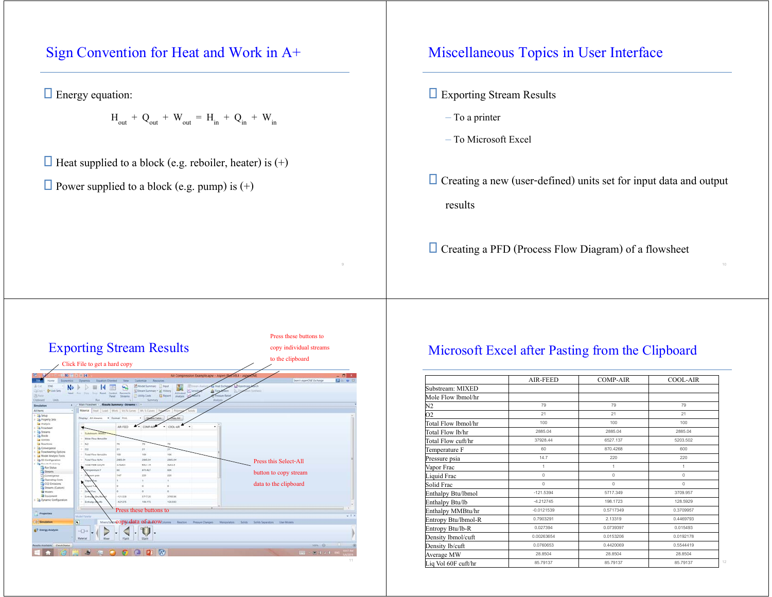## Sign Convention for Heat and Work in A+

 $\Box$  Energy equation:

 $H_{\text{out}} + Q_{\text{out}} + W_{\text{out}} = H_{\text{in}} + Q_{\text{in}} + W_{\text{in}}$ 

 $\Box$  Heat supplied to a block (e.g. reboiler, heater) is (+)

 $\Box$  Power supplied to a block (e.g. pump) is (+)

# Miscellaneous Topics in User Interface

- **Exporting Stream Results** 
	- To a printer
	- To Microsoft Excel
- $\Box$  Creating a new (user-defined) units set for input data and output results

Creating a PFD (Process Flow Diagram) of a flowsheet



### Microsoft Excel after Pasting from the Clipboard

|                     | AIR-FEED     | <b>COMP-AIR</b> | <b>COOL-AIR</b> |
|---------------------|--------------|-----------------|-----------------|
| Substream: MIXED    |              |                 |                 |
| Mole Flow lbmol/hr  |              |                 |                 |
| N2                  | 79           | 79              | 79              |
| 02                  | 21           | 21              | 21              |
| Total Flow lbmol/hr | 100          | 100             | 100             |
| Total Flow lb/hr    | 2885.04      | 2885.04         | 2885.04         |
| Total Flow cuft/hr  | 37928.44     | 6527.137        | 5203.502        |
| Temperature F       | 60           | 870.4268        | 600             |
| Pressure psia       | 14.7         | 220             | 220             |
| Vapor Frac          | $\mathbf{1}$ | $\mathbf{1}$    | $\mathbf{1}$    |
| Liquid Frac         | $\mathbf 0$  | $\mathbf 0$     | $\mathbf 0$     |
| Solid Frac          | $\mathbf{0}$ | $\mathbf 0$     | $\mathbf{0}$    |
| Enthalpy Btu/lbmol  | $-121.5394$  | 5717.349        | 3709.957        |
| Enthalpy Btu/lb     | $-4.212745$  | 198.1723        | 128,5929        |
| Enthalpy MMBtu/hr   | $-0.0121539$ | 0.5717349       | 0.3709957       |
| Entropy Btu/lbmol-R | 0.7903291    | 2.13319         | 0.4469793       |
| Entropy Btu/lb-R    | 0.027394     | 0.0739397       | 0.015493        |
| Density lbmol/cuft  | 0.00263654   | 0.0153206       | 0.0192178       |
| Density lb/cuft     | 0.0760653    | 0.4420069       | 0.5544419       |
| Average MW          | 28.8504      | 28.8504         | 28.8504         |
| Liq Vol 60F cuft/hr | 85.79137     | 85.79137        | 85.79137        |